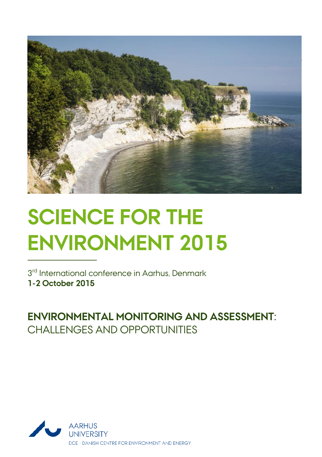

# **SCIENCE FOR THE ENVIRONMENT 2015**

3<sup>rd</sup> International conference in Aarhus, Denmark **1-2 October 2015**

**ENVIRONMENTAL MONITORING AND ASSESSMENT:**  CHALLENGES AND OPPORTUNITIES

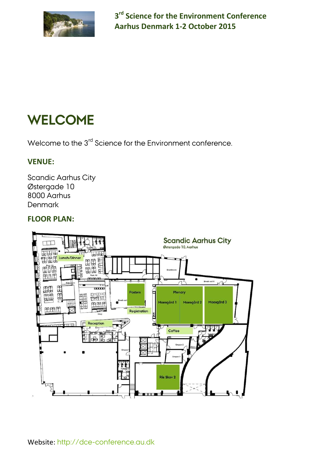

# **WELCOME**

Welcome to the 3<sup>rd</sup> Science for the Environment conference.

#### **VENUE:**

Scandic Aarhus City Østergade 10 8000 Aarhus Denmark

#### **FLOOR PLAN:**

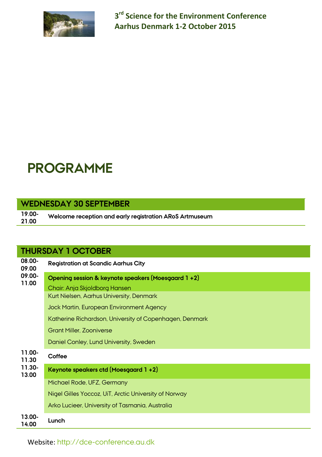

## **PROGRAMME**

#### **WEDNESDAY 30 SEPTEMBER**

**19.00- 21.00 Welcome reception and early registration ARoS Artmuseum**

#### **THURSDAY 1 OCTOBER**

| 08.00-<br>09.00 | <b>Registration at Scandic Aarhus City</b>              |  |  |
|-----------------|---------------------------------------------------------|--|--|
| 09.00-<br>11.00 | Opening session & keynote speakers (Moesgaard 1+2)      |  |  |
|                 | Chair: Anja Skjoldborg Hansen                           |  |  |
|                 | Kurt Nielsen, Aarhus University, Denmark                |  |  |
|                 | Jock Martin, European Environment Agency                |  |  |
|                 | Katherine Richardson, University of Copenhagen, Denmark |  |  |
|                 | <b>Grant Miller, Zooniverse</b>                         |  |  |
|                 | Daniel Conley, Lund University, Sweden                  |  |  |
| 11.00-<br>11.30 | Coffee                                                  |  |  |
| 11.30-<br>13.00 | Keynote speakers ctd (Moesgaard 1+2)                    |  |  |
|                 | Michael Rode, UFZ, Germany                              |  |  |
|                 | Nigel Gilles Yoccoz, UiT, Arctic University of Norway   |  |  |
|                 | Arko Lucieer, University of Tasmania, Australia         |  |  |
| 13.00-<br>14.00 | Lunch                                                   |  |  |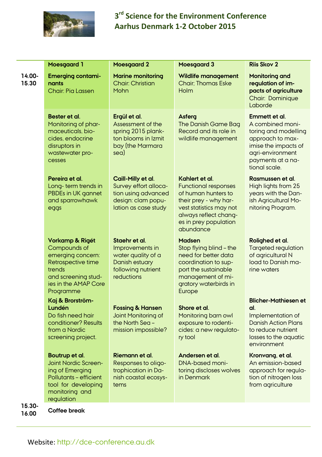

|                 | <b>Moesgaard 1</b>                                                                                                                                | <b>Moesgaard 2</b>                                                                                                  | <b>Moesgaard 3</b>                                                                                                                                                                      | <b>Riis Skov 2</b>                                                                                                                                              |
|-----------------|---------------------------------------------------------------------------------------------------------------------------------------------------|---------------------------------------------------------------------------------------------------------------------|-----------------------------------------------------------------------------------------------------------------------------------------------------------------------------------------|-----------------------------------------------------------------------------------------------------------------------------------------------------------------|
| 14.00-<br>15.30 | <b>Emerging contami-</b><br>nants<br>Chair: Pia Lassen                                                                                            | <b>Marine monitoring</b><br><b>Chair: Christian</b><br><b>Mohn</b>                                                  | Wildlife management<br><b>Chair: Thomas Eske</b><br><b>Holm</b>                                                                                                                         | Monitoring and<br>regulation of im-<br>pacts of agriculture<br><b>Chair: Dominique</b><br>Laborde                                                               |
|                 | Bester et al.<br>Monitoring of phar-<br>maceuticals, bio-<br>cides, endocrine<br>disruptors in<br>wastewater pro-<br>cesses                       | Ergül et al.<br>Assessment of the<br>spring 2015 plank-<br>ton blooms in Izmit<br>bay (the Marmara<br>sea)          | Asferg<br>The Danish Game Bag<br>Record and its role in<br>wildlife management                                                                                                          | Emmett et al.<br>A combined moni-<br>toring and modelling<br>approach to max-<br>imise the impacts of<br>agri-environment<br>payments at a na-<br>tional scale. |
|                 | Pereira et al.<br>Long-term trends in<br>PBDEs in UK gannet<br>and sparrowhawk<br>eggs                                                            | Caill-Milly et al.<br>Survey effort alloca-<br>tion using advanced<br>design: clam popu-<br>lation as case study    | Kahlert et al.<br><b>Functional responses</b><br>of human hunters to<br>their prey - why har-<br>vest statistics may not<br>always reflect chang-<br>es in prey population<br>abundance | Rasmussen et al.<br>High lights from 25<br>years with the Dan-<br>ish Agricultural Mo-<br>nitoring Program.                                                     |
|                 | Vorkamp & Rigét<br>Compounds of<br>emerging concern:<br>Retrospective time<br>trends<br>and screening stud-<br>ies in the AMAP Core<br>Programme  | Staehr et al.<br>Improvements in<br>water quality of a<br><b>Danish estuary</b><br>following nutrient<br>reductions | <b>Madsen</b><br>Stop flying blind - the<br>need for better data<br>coordination to sup-<br>port the sustainable<br>management of mi-<br>gratory waterbirds in<br>Europe                | Rolighed et al.<br><b>Targeted regulation</b><br>of agricultural N<br>load to Danish ma-<br>rine waters                                                         |
|                 | Kaj & Brorström-<br>Lundén<br>Do fish need hair<br>conditioner? Results<br>from a Nordic<br>screening project.                                    | <b>Fossing &amp; Hansen</b><br>Joint Monitoring of<br>the North Sea -<br>mission impossible?                        | Shore et al.<br>Monitoring barn owl<br>exposure to rodenti-<br>cides: a new regulato-<br>ry tool                                                                                        | <b>Blicher-Mathiesen et</b><br>al.<br>Implementation of<br><b>Danish Action Plans</b><br>to reduce nutrient<br>losses to the aquatic<br>environment             |
|                 | Boutrup et al.<br>Joint Nordic Screen-<br>ing of Emerging<br><b>Pollutants - efficient</b><br>tool for developing<br>monitoring and<br>regulation | Riemann et al.<br>Responses to oligo-<br>trophication in Da-<br>nish coastal ecosys-<br>tems                        | Andersen et al.<br><b>DNA-based moni-</b><br>toring discloses wolves<br>in Denmark                                                                                                      | Kronvang, et al.<br>An emission-based<br>approach for regula-<br>tion of nitrogen loss<br>from agriculture                                                      |
| 15.30-<br>16.00 | Coffee break                                                                                                                                      |                                                                                                                     |                                                                                                                                                                                         |                                                                                                                                                                 |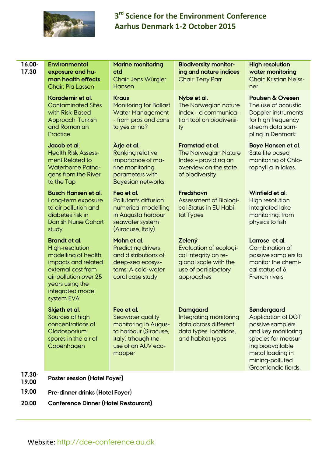

| 16.00-<br>17.30 | Environmental<br>exposure and hu-<br>man health effects<br>Chair: Pia Lassen                                                                                                              | <b>Marine monitoring</b><br>ctd<br>Chair: Jens Würgler<br>Hansen                                                                      | <b>Biodiversity monitor-</b><br>ing and nature indices<br><b>Chair: Terry Parr</b>                                      | <b>High resolution</b><br>water monitoring<br><b>Chair: Kristian Meiss-</b><br>ner                                                                                                   |  |
|-----------------|-------------------------------------------------------------------------------------------------------------------------------------------------------------------------------------------|---------------------------------------------------------------------------------------------------------------------------------------|-------------------------------------------------------------------------------------------------------------------------|--------------------------------------------------------------------------------------------------------------------------------------------------------------------------------------|--|
|                 | Karademir et al.<br><b>Contaminated Sites</b><br>with Risk-Based<br>Approach: Turkish<br>and Romanian<br>Practice                                                                         | <b>Kraus</b><br><b>Monitoring for Ballast</b><br><b>Water Management</b><br>- from pros and cons<br>to yes or no?                     | Nybø et al.<br>The Norwegian nature<br>index - a communica-<br>tion tool on biodiversi-<br>ty                           | <b>Poulsen &amp; Ovesen</b><br>The use of acoustic<br>Doppler instruments<br>for high frequency<br>stream data sam-<br>pling in Denmark                                              |  |
|                 | Jacob et al.<br><b>Health Risk Assess-</b><br>ment Related to<br><b>Waterborne Patho-</b><br>gens from the River<br>to the Tap                                                            | Ärje et al.<br><b>Ranking relative</b><br>importance of ma-<br>rine monitoring<br>parameters with<br><b>Bayesian networks</b>         | Framstad et al.<br><b>The Norwegian Nature</b><br>Index - providing an<br>overview on the state<br>of biodiversity      | Boye Hansen et al.<br>Satellite based<br>monitoring of Chlo-<br>rophyll a in lakes.                                                                                                  |  |
|                 | <b>Busch Hansen et al.</b><br>Long-term exposure<br>to air pollution and<br>diabetes risk in<br><b>Danish Nurse Cohort</b><br>study                                                       | Feo et al.<br>Pollutants diffusion<br>numerical modelling<br>in Augusta harbour<br>seawater system<br>(Airacuse, Italy)               | Fredshavn<br><b>Assessment of Biologi-</b><br>cal Status in EU Habi-<br>tat Types                                       | Winfield et al.<br>High resolution<br>intearated lake<br>monitoring: from<br>physics to fish                                                                                         |  |
|                 | <b>Brandt et al.</b><br>High-resolution<br>modelling of health<br>impacts and related<br>external cost from<br>air pollution over 25<br>years using the<br>integrated model<br>system EVA | Mohn et al.<br><b>Predicting drivers</b><br>and distributions of<br>deep-sea ecosys-<br>tems: A cold-water<br>coral case study        | Zelený<br>Evaluation of ecologi-<br>cal integrity on re-<br>gional scale with the<br>use of participatory<br>approaches | Larrose et al.<br>Combination of<br>passive samplers to<br>monitor the chemi-<br>cal status of 6<br><b>French rivers</b>                                                             |  |
|                 | Skjøth et al.<br>Sources of high<br>concentrations of<br>Cladosporium<br>spores in the air of<br>Copenhagen                                                                               | Feo et al.<br>Seawater quality<br>monitoring in Augus-<br>ta harbour (Siracuse,<br>Italy) trhough the<br>use of an AUV eco-<br>mapper | <b>Damgaard</b><br>Integrating monitoring<br>data across different<br>data types, locations,<br>and habitat types       | Søndergaard<br>Application of DGT<br>passive samplers<br>and key monitoring<br>species for measur-<br>ing bioavailable<br>metal loading in<br>mining-polluted<br>Greenlandic fiords. |  |
| 17.30-<br>19.00 | Poster session (Hotel Foyer)                                                                                                                                                              |                                                                                                                                       |                                                                                                                         |                                                                                                                                                                                      |  |
| 19.00           | Pre-dinner drinks (Hotel Foyer)                                                                                                                                                           |                                                                                                                                       |                                                                                                                         |                                                                                                                                                                                      |  |
| 20.00           | Conference Dinner (Hotel Restaurant)                                                                                                                                                      |                                                                                                                                       |                                                                                                                         |                                                                                                                                                                                      |  |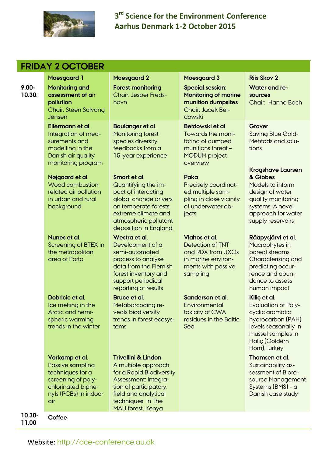

|                    | <b>FRIDAY 2 OCTOBER</b>                                                                                                            |                                                                                                                                                                                                       |                                                                                                                       |                                                                                                                                                                    |  |
|--------------------|------------------------------------------------------------------------------------------------------------------------------------|-------------------------------------------------------------------------------------------------------------------------------------------------------------------------------------------------------|-----------------------------------------------------------------------------------------------------------------------|--------------------------------------------------------------------------------------------------------------------------------------------------------------------|--|
|                    | <b>Moesgaard 1</b>                                                                                                                 | <b>Moesgaard 2</b>                                                                                                                                                                                    | <b>Moesgaard 3</b>                                                                                                    | <b>Riis Skov 2</b>                                                                                                                                                 |  |
| $9.00 -$<br>10.30: | <b>Monitoring and</b><br>assessment of air<br>pollution<br><b>Chair: Steen Solvang</b><br>Jensen                                   | <b>Forest monitoring</b><br><b>Chair: Jesper Freds-</b><br>havn                                                                                                                                       | <b>Special session:</b><br><b>Monitoring of marine</b><br>munition dumpsites<br><b>Chair: Jacek Bel-</b><br>dowski    | Water and re-<br>sources<br>Chair: Hanne Bach                                                                                                                      |  |
|                    | Ellermann et al.<br>Integration of mea-<br>surements and<br>modelling in the<br>Danish air quality<br>monitoring program           | Boulanger et al.<br><b>Monitoring forest</b><br>species diversity:<br>feedbacks from a<br>15-year experience                                                                                          | Bełdowski et al<br>Towards the moni-<br>toring of dumped<br>munitions threat -<br><b>MODUM</b> project<br>overview    | Grover<br><b>Saving Blue Gold-</b><br>Mehtods and solu-<br>tions                                                                                                   |  |
|                    | Nøjgaard et al.<br>Wood combustion<br>related air pollution<br>in urban and rural<br>background                                    | Smart et al.<br>Quantifying the im-<br>pact of interacting<br>global change drivers<br>on temperate forests:<br>extreme climate and<br>atmospheric pollutant                                          | Paka<br>Precisely coordinat-<br>ed multiple sam-<br>pling in close vicinity<br>of underwater ob-<br>jects             | Krogshave Laursen<br>& Gibbes<br>Models to inform<br>design of water<br>quality monitoring<br>systems: A novel<br>approach for water<br>supply reservoirs          |  |
|                    | Nunes et al.<br>Screening of BTEX in<br>the metropolitan<br>area of Porto                                                          | deposition in England.<br>Westra et al.<br>Development of a<br>semi-automated<br>process to analyse<br>data from the Flemish<br>forest inventory and<br>support periodical<br>reporting of results    | Viahos et al.<br><b>Detection of TNT</b><br>and RDX from UXOs<br>in marine environ-<br>ments with passive<br>sampling | Rääpysjärvi et al.<br>Macrophytes in<br>boreal streams:<br>Characterizing and<br>predicting occur-<br>rence and abun-<br>dance to assess<br>human impact           |  |
|                    | Dobricic et al.<br>Ice melting in the<br>Arctic and hemi-<br>spheric warming<br>trends in the winter                               | Bruce et al.<br>Metabarcoding re-<br>veals biodiversity<br>trends in forest ecosys-<br>tems                                                                                                           | Sanderson et al.<br>Environmental<br>toxicity of CWA<br>residues in the Baltic<br>Sea                                 | Kiliç et al.<br><b>Evaluation of Poly-</b><br>cyclic aromatic<br>hydrocarbon (PAH)<br>levels seasonally in<br>mussel samples in<br>Haliç (Goldern<br>Horn), Turkey |  |
|                    | Vorkamp et al.<br>Passive sampling<br>techniques for a<br>screening of poly-<br>chlorinated biphe-<br>nyls (PCBs) in indoor<br>air | <b>Trivellini &amp; Lindon</b><br>A multiple approach<br>for a Rapid Biodiversity<br>Assessment: Integra-<br>tion of participatory,<br>field and analytical<br>techniques in The<br>MAU forest, Kenya |                                                                                                                       | Thomsen et al.<br>Sustainability as-<br>sessment of Biore-<br>source Management<br>Systems (BMS) - a<br>Danish case study                                          |  |
| 10.30-<br>11.00    | Coffee                                                                                                                             |                                                                                                                                                                                                       |                                                                                                                       |                                                                                                                                                                    |  |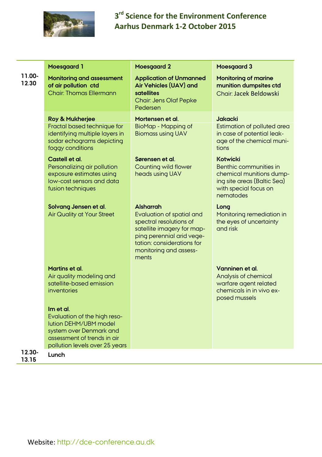

|                 | <b>Moesgaard 1</b>                                                                                                                                             | <b>Moesgaard 2</b>                                                                                                                                                                                          | <b>Moesgaard 3</b>                                                                                                                  |
|-----------------|----------------------------------------------------------------------------------------------------------------------------------------------------------------|-------------------------------------------------------------------------------------------------------------------------------------------------------------------------------------------------------------|-------------------------------------------------------------------------------------------------------------------------------------|
| 11.00-<br>12.30 | Monitoring and assessment<br>of air pollution ctd<br><b>Chair: Thomas Ellermann</b>                                                                            | <b>Application of Unmanned</b><br>Air Vehicles (UAV) and<br>satellites<br><b>Chair: Jens Olaf Pepke</b><br>Pedersen                                                                                         | <b>Monitoring of marine</b><br>munition dumpsites ctd<br>Chair: Jacek Beldowski                                                     |
|                 | Roy & Mukherjee<br>Fractal based technique for<br>identifying multiple layers in<br>sodar echograms depicting<br>foggy conditions                              | Mortensen et al.<br>BioMap - Mapping of<br><b>Biomass using UAV</b>                                                                                                                                         | <b>Jakacki</b><br>Estimation of polluted area<br>in case of potential leak-<br>age of the chemical muni-<br>tions                   |
|                 | Castell et al.<br>Personalizing air pollution<br>exposure estimates using<br>low-cost sensors and data<br>fusion techniques                                    | Sørensen et al.<br>Counting wild flower<br>heads using UAV                                                                                                                                                  | Kotwicki<br>Benthic communities in<br>chemical munitions dump-<br>ing site areas (Baltic Sea)<br>with special focus on<br>nematodes |
|                 | Solvang Jensen et al.<br><b>Air Quality at Your Street</b>                                                                                                     | <b>Alsharrah</b><br><b>Evaluation of spatial and</b><br>spectral resolutions of<br>satellite imagery for map-<br>ping perennial arid vege-<br>tation: considerations for<br>monitoring and assess-<br>ments | Long<br>Monitoring remediation in<br>the eyes of uncertainty<br>and risk                                                            |
|                 | Martins et al.<br>Air quality modeling and<br>satellite-based emission<br>inventories                                                                          |                                                                                                                                                                                                             | Vanninen et al.<br>Analysis of chemical<br>warfare agent related<br>chemicals in in vivo ex-<br>posed mussels                       |
|                 | Im et al.<br>Evaluation of the high reso-<br>lution DEHM/UBM model<br>system over Denmark and<br>assessment of trends in air<br>pollution levels over 25 years |                                                                                                                                                                                                             |                                                                                                                                     |
| 12.30-<br>13.15 | Lunch                                                                                                                                                          |                                                                                                                                                                                                             |                                                                                                                                     |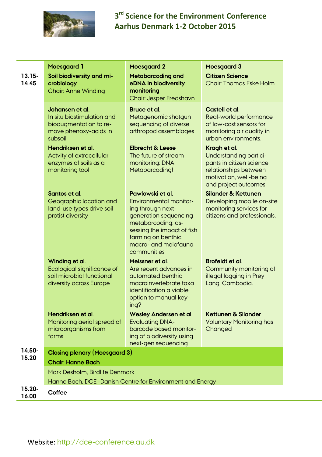

|                    | <b>Moesgaard 1</b>                                                                                          | <b>Moesgaard 2</b>                                                                                                                                                                                               | <b>Moesgaard 3</b>                                                                                                                             |  |
|--------------------|-------------------------------------------------------------------------------------------------------------|------------------------------------------------------------------------------------------------------------------------------------------------------------------------------------------------------------------|------------------------------------------------------------------------------------------------------------------------------------------------|--|
| $13.15 -$<br>14.45 | Soil biodiversity and mi-<br>crobiology                                                                     | Metabarcoding and<br>eDNA in biodiversity                                                                                                                                                                        | <b>Citizen Science</b><br><b>Chair: Thomas Eske Holm</b>                                                                                       |  |
|                    | <b>Chair: Anne Winding</b>                                                                                  | monitoring<br>Chair: Jesper Fredshavn                                                                                                                                                                            |                                                                                                                                                |  |
|                    | Johansen et al.<br>In situ biostimulation and<br>bioaugmentation to re-<br>move phenoxy-acids in<br>subsoil | Bruce et al.<br>Metagenomic shotgun<br>sequencing of diverse<br>arthropod assemblages                                                                                                                            | Castell et al.<br>Real-world performance<br>of low-cost sensors for<br>monitoring air quality in<br>urban environments.                        |  |
|                    | Hendriksen et al.<br>Actvity of extracellular<br>enzymes of soils as a<br>monitoring tool                   | Elbrecht & Leese<br>The future of stream<br>monitoring: DNA<br>Metabarcoding!                                                                                                                                    | Kragh et al.<br>Understanding partici-<br>pants in citizen science:<br>relationships between<br>motivation, well-being<br>and project outcomes |  |
|                    | Santos et al.<br>Geographic location and<br>land-use types drive soil<br>protist diversity                  | Pawlowski et al.<br><b>Environmental monitor-</b><br>ing through next-<br>generation sequencing<br>metabarcoding: as-<br>sessing the impact of fish<br>farming on benthic<br>macro- and meiofauna<br>communities | <b>Silander &amp; Kettunen</b><br>Developing mobile on-site<br>monitoring services for<br>citizens and professionals.                          |  |
|                    | Winding et al.<br>Ecological significance of<br>soil microbial functional<br>diversity across Europe        | Meissner et al.<br>Are recent advances in<br>automated benthic<br>macroinvertebrate taxa<br>identification a viable<br>option to manual key-<br>ing?                                                             | Brofeldt et al.<br>Community monitoring of<br>illegal logging in Prey<br>Lang, Cambodia.                                                       |  |
|                    | Hendriksen et al.<br>Monitoring aerial spread of<br>microorganisms from<br>farms                            | Wesley Andersen et al.<br><b>Evaluating DNA-</b><br>barcode based monitor-<br>ing of biodiversity using<br>next-gen sequencing                                                                                   | Kettunen & Silander<br><b>Voluntary Monitoring has</b><br>Changed                                                                              |  |
| 14.50-             | <b>Closing plenary (Moesgaard 3)</b>                                                                        |                                                                                                                                                                                                                  |                                                                                                                                                |  |
| 15.20              | <b>Chair: Hanne Bach</b>                                                                                    |                                                                                                                                                                                                                  |                                                                                                                                                |  |
|                    | Mark Desholm. Birdlife Denmark                                                                              |                                                                                                                                                                                                                  |                                                                                                                                                |  |
|                    | Hanne Bach, DCE-Danish Centre for Environment and Energy                                                    |                                                                                                                                                                                                                  |                                                                                                                                                |  |
| 15.20-<br>16.00    | Coffee                                                                                                      |                                                                                                                                                                                                                  |                                                                                                                                                |  |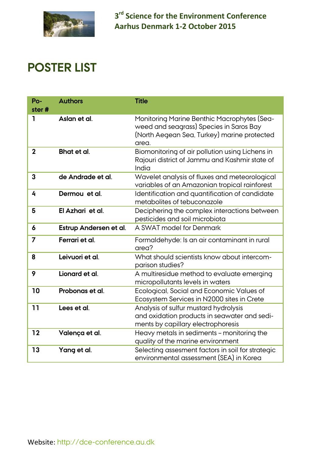

## **POSTER LIST**

| Po-<br>ster# | <b>Authors</b>         | <b>Title</b>                                                                                                                                   |
|--------------|------------------------|------------------------------------------------------------------------------------------------------------------------------------------------|
| ı            | Aslan et al.           | Monitoring Marine Benthic Macrophytes (Sea-<br>weed and seagrass) Species in Saros Bay<br>(North Aegean Sea, Turkey) marine protected<br>area. |
| $\mathbf{2}$ | Bhat et al.            | Biomonitoring of air pollution using Lichens in<br>Rajouri district of Jammu and Kashmir state of<br>India                                     |
| 3            | de Andrade et al.      | Wavelet analysis of fluxes and meteorological<br>variables of an Amazonian tropical rainforest                                                 |
| 4            | Dermou et al.          | Identification and quantification of candidate<br>metabolites of tebuconazole                                                                  |
| 5            | El Azhari et al.       | Deciphering the complex interactions between<br>pesticides and soil microbiota                                                                 |
| 6            | Estrup Andersen et al. | A SWAT model for Denmark                                                                                                                       |
| 7            | Ferrari et al.         | Formaldehyde: Is an air contaminant in rural<br>area?                                                                                          |
| 8            | Leivuori et al.        | What should scientists know about intercom-<br>parison studies?                                                                                |
| 9            | Lionard et al.         | A multiresidue method to evaluate emerging<br>micropollutants levels in waters                                                                 |
| 10           | Probonas et al.        | Ecological, Social and Economic Values of<br>Ecosystem Services in N2000 sites in Crete                                                        |
| 11           | Lees et al.            | Analysis of sulfur mustard hydrolysis<br>and oxidation products in seawater and sedi-<br>ments by capillary electrophoresis                    |
| 12           | Valença et al.         | Heavy metals in sediments - monitoring the<br>quality of the marine environment                                                                |
| 13           | Yang et al.            | Selecting assesment factors in soil for strategic<br>environmental assessment (SEA) in Korea                                                   |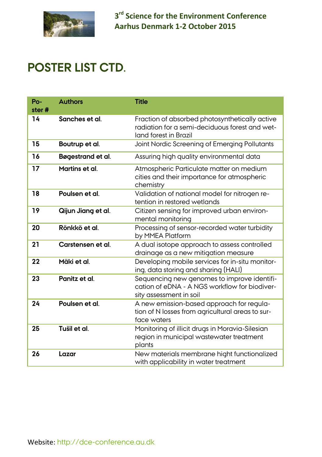

### **POSTER LIST CTD.**

| $Po-$ | <b>Authors</b>     | <b>Title</b>                                                                                                              |
|-------|--------------------|---------------------------------------------------------------------------------------------------------------------------|
| ster# |                    |                                                                                                                           |
| 14    | Sanches et al.     | Fraction of absorbed photosynthetically active<br>radiation for a semi-deciduous forest and wet-<br>land forest in Brazil |
| 15    | Boutrup et al.     | Joint Nordic Screening of Emerging Pollutants                                                                             |
| 16    | Bøgestrand et al.  | Assuring high quality environmental data                                                                                  |
| 17    | Martins et al.     | Atmospheric Particulate matter on medium<br>cities and their importance for atmospheric<br>chemistry                      |
| 18    | Poulsen et al.     | Validation of national model for nitrogen re-<br>tention in restored wetlands                                             |
| 19    | Qijun Jiang et al. | Citizen sensing for improved urban environ-<br>mental monitoring                                                          |
| 20    | Rönkkö et al.      | Processing of sensor-recorded water turbidity<br>by MMEA Platform                                                         |
| 21    | Carstensen et al.  | A dual isotope approach to assess controlled<br>drainage as a new mitigation measure                                      |
| 22    | Mäki et al.        | Developing mobile services for in-situ monitor-<br>ing, data storing and sharing (HALI)                                   |
| 23    | Panitz et al.      | Sequencing new genomes to improve identifi-<br>cation of eDNA - A NGS workflow for biodiver-<br>sity assessment in soil   |
| 24    | Poulsen et al.     | A new emission-based approach for regula-<br>tion of N losses from agricultural areas to sur-<br>face waters              |
| 25    | Tušil et al.       | Monitoring of illicit drugs in Moravia-Silesian<br>region in municipal wastewater treatment<br>plants                     |
| 26    | Lazar              | New materials membrane hight functionalized<br>with applicability in water treatment                                      |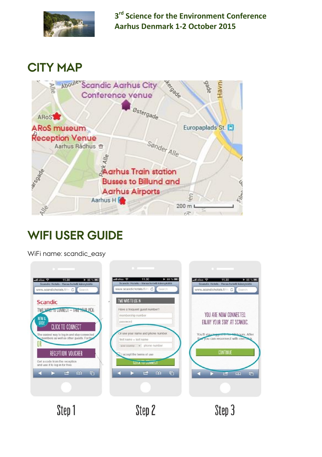

### **CITY MAP**



# **WIFI USER GUIDE**

WiFi name: scandic\_easy



Step 2

Step 3